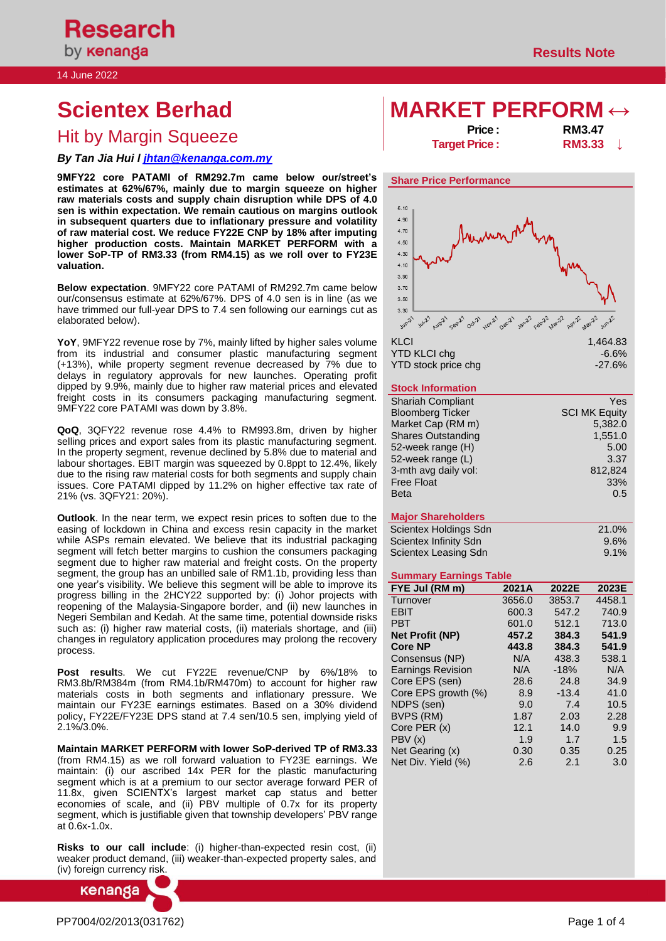# *By Tan Jia Hui l [jhtan@kenanga.com.my](mailto:jhtan@kenanga.com.my)*

**9MFY22 core PATAMI of RM292.7m came below our/street's estimates at 62%/67%, mainly due to margin squeeze on higher raw materials costs and supply chain disruption while DPS of 4.0 sen is within expectation. We remain cautious on margins outlook in subsequent quarters due to inflationary pressure and volatility of raw material cost. We reduce FY22E CNP by 18% after imputing higher production costs. Maintain MARKET PERFORM with a lower SoP-TP of RM3.33 (from RM4.15) as we roll over to FY23E valuation.**

**Below expectation**. 9MFY22 core PATAMI of RM292.7m came below our/consensus estimate at 62%/67%. DPS of 4.0 sen is in line (as we have trimmed our full-year DPS to 7.4 sen following our earnings cut as elaborated below).

**YoY**, 9MFY22 revenue rose by 7%, mainly lifted by higher sales volume from its industrial and consumer plastic manufacturing segment (+13%), while property segment revenue decreased by 7% due to delays in regulatory approvals for new launches. Operating profit dipped by 9.9%, mainly due to higher raw material prices and elevated freight costs in its consumers packaging manufacturing segment. 9MFY22 core PATAMI was down by 3.8%.

**QoQ**, 3QFY22 revenue rose 4.4% to RM993.8m, driven by higher selling prices and export sales from its plastic manufacturing segment. In the property segment, revenue declined by 5.8% due to material and labour shortages. EBIT margin was squeezed by 0.8ppt to 12.4%, likely due to the rising raw material costs for both segments and supply chain issues. Core PATAMI dipped by 11.2% on higher effective tax rate of 21% (vs. 3QFY21: 20%).

**Outlook**. In the near term, we expect resin prices to soften due to the easing of lockdown in China and excess resin capacity in the market while ASPs remain elevated. We believe that its industrial packaging segment will fetch better margins to cushion the consumers packaging segment due to higher raw material and freight costs. On the property segment, the group has an unbilled sale of RM1.1b, providing less than one year's visibility. We believe this segment will be able to improve its progress billing in the 2HCY22 supported by: (i) Johor projects with reopening of the Malaysia-Singapore border, and (ii) new launches in Negeri Sembilan and Kedah. At the same time, potential downside risks such as: (i) higher raw material costs, (ii) materials shortage, and (iii) changes in regulatory application procedures may prolong the recovery process.

**Post result**s. We cut FY22E revenue/CNP by 6%/18% to RM3.8b/RM384m (from RM4.1b/RM470m) to account for higher raw materials costs in both segments and inflationary pressure. We maintain our FY23E earnings estimates. Based on a 30% dividend policy, FY22E/FY23E DPS stand at 7.4 sen/10.5 sen, implying yield of 2.1%/3.0%.

**Maintain MARKET PERFORM with lower SoP-derived TP of RM3.33** (from RM4.15) as we roll forward valuation to FY23E earnings. We maintain: (i) our ascribed 14x PER for the plastic manufacturing segment which is at a premium to our sector average forward PER of 11.8x, given SCIENTX's largest market cap status and better economies of scale, and (ii) PBV multiple of 0.7x for its property segment, which is justifiable given that township developers' PBV range at 0.6x-1.0x.

**Risks to our call include**: (i) higher-than-expected resin cost, (ii) weaker product demand, (iii) weaker-than-expected property sales, and (iv) foreign currency risk.



# **Scientex Berhad MARKET PERFORM ↔**

|                              | Price:               | <b>RM3.47</b> |
|------------------------------|----------------------|---------------|
| <b>Hit by Margin Squeeze</b> | <b>Target Price:</b> | <b>RM3.33</b> |

**M3.33** ↓

### **Share Price Performance**



| .                   | .       |
|---------------------|---------|
| YTD KLCI chq        | $-6.6%$ |
| YTD stock price chg | -27.6%  |

# **Stock Information**

| <b>Shariah Compliant</b>  | Yes                  |
|---------------------------|----------------------|
| <b>Bloomberg Ticker</b>   | <b>SCI MK Equity</b> |
| Market Cap (RM m)         | 5,382.0              |
| <b>Shares Outstanding</b> | 1,551.0              |
| 52-week range (H)         | 5.00                 |
| 52-week range (L)         | 3.37                 |
| 3-mth avg daily vol:      | 812,824              |
| <b>Free Float</b>         | 33%                  |
| <b>Beta</b>               | 0.5                  |
|                           |                      |

# **Major Shareholders**

| Scientex Holdings Sdn | 21.0%   |
|-----------------------|---------|
| Scientex Infinity Sdn | 9.6%    |
| Scientex Leasing Sdn  | $9.1\%$ |

### **Summary Earnings Table**

| FYE Jul (RM m)           | 2021A  | 2022E   | 2023E  |
|--------------------------|--------|---------|--------|
| Turnover                 | 3656.0 | 3853.7  | 4458.1 |
| <b>EBIT</b>              | 600.3  | 547.2   | 740.9  |
| <b>PBT</b>               | 601.0  | 512.1   | 713.0  |
| <b>Net Profit (NP)</b>   | 457.2  | 384.3   | 541.9  |
| <b>Core NP</b>           | 443.8  | 384.3   | 541.9  |
| Consensus (NP)           | N/A    | 438.3   | 538.1  |
| <b>Earnings Revision</b> | N/A    | $-18%$  | N/A    |
| Core EPS (sen)           | 28.6   | 24.8    | 34.9   |
| Core EPS growth (%)      | 8.9    | $-13.4$ | 41.0   |
| NDPS (sen)               | 9.0    | 7.4     | 10.5   |
| BVPS (RM)                | 1.87   | 2.03    | 2.28   |
| Core PER (x)             | 12.1   | 14.0    | 9.9    |
| PBV(x)                   | 1.9    | 1.7     | 1.5    |
| Net Gearing (x)          | 0.30   | 0.35    | 0.25   |
| Net Div. Yield (%)       | 2.6    | 2.1     | 3.0    |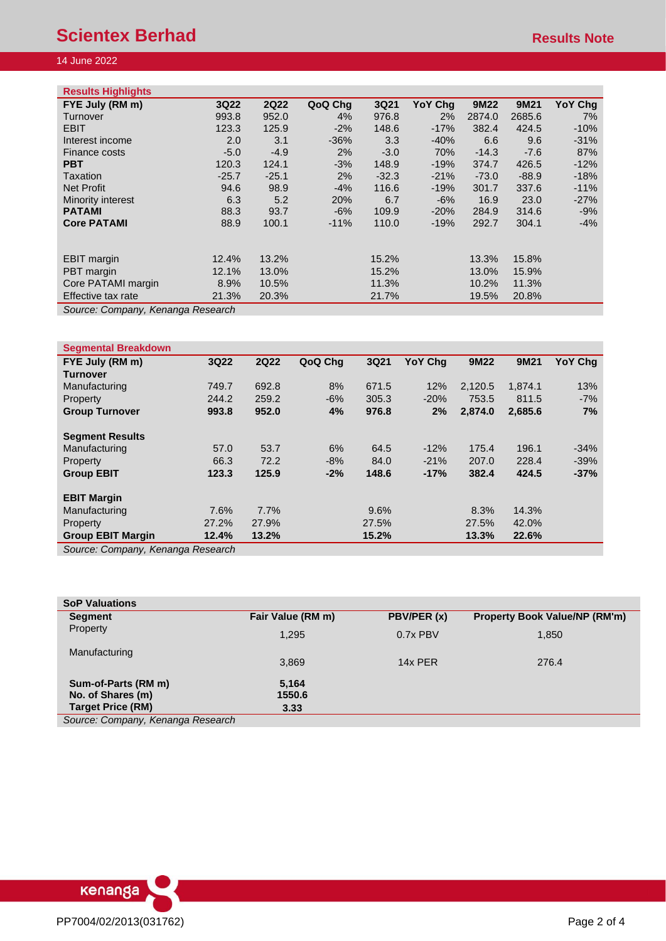# 14 June 2022

| <b>Results Highlights</b>         |         |             |            |         |                |         |         |         |
|-----------------------------------|---------|-------------|------------|---------|----------------|---------|---------|---------|
| FYE July (RM m)                   | 3Q22    | <b>2Q22</b> | QoQ Chg    | 3Q21    | <b>YoY Chg</b> | 9M22    | 9M21    | YoY Chq |
| Turnover                          | 993.8   | 952.0       | 4%         | 976.8   | 2%             | 2874.0  | 2685.6  | 7%      |
| <b>EBIT</b>                       | 123.3   | 125.9       | $-2\%$     | 148.6   | $-17%$         | 382.4   | 424.5   | $-10%$  |
| Interest income                   | 2.0     | 3.1         | $-36%$     | 3.3     | $-40%$         | 6.6     | 9.6     | $-31%$  |
| Finance costs                     | $-5.0$  | $-4.9$      | 2%         | $-3.0$  | 70%            | $-14.3$ | $-7.6$  | 87%     |
| <b>PBT</b>                        | 120.3   | 124.1       | $-3%$      | 148.9   | $-19%$         | 374.7   | 426.5   | $-12%$  |
| Taxation                          | $-25.7$ | $-25.1$     | 2%         | $-32.3$ | $-21%$         | $-73.0$ | $-88.9$ | $-18%$  |
| <b>Net Profit</b>                 | 94.6    | 98.9        | $-4%$      | 116.6   | $-19%$         | 301.7   | 337.6   | $-11%$  |
| Minority interest                 | 6.3     | 5.2         | <b>20%</b> | 6.7     | $-6%$          | 16.9    | 23.0    | $-27%$  |
| <b>PATAMI</b>                     | 88.3    | 93.7        | $-6%$      | 109.9   | $-20%$         | 284.9   | 314.6   | $-9%$   |
| <b>Core PATAMI</b>                | 88.9    | 100.1       | $-11%$     | 110.0   | $-19%$         | 292.7   | 304.1   | $-4%$   |
|                                   |         |             |            |         |                |         |         |         |
| <b>EBIT</b> margin                | 12.4%   | 13.2%       |            | 15.2%   |                | 13.3%   | 15.8%   |         |
| PBT margin                        | 12.1%   | 13.0%       |            | 15.2%   |                | 13.0%   | 15.9%   |         |
| Core PATAMI margin                | 8.9%    | 10.5%       |            | 11.3%   |                | 10.2%   | 11.3%   |         |
| Effective tax rate                | 21.3%   | 20.3%       |            | 21.7%   |                | 19.5%   | 20.8%   |         |
| Source: Company, Kenanga Research |         |             |            |         |                |         |         |         |

*Source: Company, Kenanga Research*

| <b>Segmental Breakdown</b>       |       |             |         |       |         |         |         |         |
|----------------------------------|-------|-------------|---------|-------|---------|---------|---------|---------|
| FYE July (RM m)                  | 3Q22  | <b>2Q22</b> | QoQ Chg | 3Q21  | YoY Chg | 9M22    | 9M21    | YoY Chg |
| Turnover                         |       |             |         |       |         |         |         |         |
| Manufacturing                    | 749.7 | 692.8       | 8%      | 671.5 | 12%     | 2,120.5 | 1.874.1 | 13%     |
| Property                         | 244.2 | 259.2       | $-6%$   | 305.3 | $-20%$  | 753.5   | 811.5   | $-7%$   |
| <b>Group Turnover</b>            | 993.8 | 952.0       | 4%      | 976.8 | 2%      | 2,874.0 | 2,685.6 | 7%      |
| <b>Segment Results</b>           |       |             |         |       |         |         |         |         |
| Manufacturing                    | 57.0  | 53.7        | 6%      | 64.5  | $-12%$  | 175.4   | 196.1   | $-34%$  |
| Property                         | 66.3  | 72.2        | $-8%$   | 84.0  | $-21%$  | 207.0   | 228.4   | $-39%$  |
| <b>Group EBIT</b>                | 123.3 | 125.9       | $-2%$   | 148.6 | $-17%$  | 382.4   | 424.5   | $-37%$  |
| <b>EBIT Margin</b>               |       |             |         |       |         |         |         |         |
| Manufacturing                    | 7.6%  | 7.7%        |         | 9.6%  |         | 8.3%    | 14.3%   |         |
| Property                         | 27.2% | 27.9%       |         | 27.5% |         | 27.5%   | 42.0%   |         |
| <b>Group EBIT Margin</b>         | 12.4% | 13.2%       |         | 15.2% |         | 13.3%   | 22.6%   |         |
| Source: Company Kananga Research |       |             |         |       |         |         |         |         |

*Source: Company, Kenanga Research*

| <b>SoP Valuations</b>             |                   |             |                                      |
|-----------------------------------|-------------------|-------------|--------------------------------------|
| <b>Segment</b>                    | Fair Value (RM m) | PBV/PER (x) | <b>Property Book Value/NP (RM'm)</b> |
| Property                          | 1,295             | $0.7x$ PBV  | 1,850                                |
| Manufacturing                     | 3,869             | 14x PER     | 276.4                                |
| Sum-of-Parts (RM m)               | 5,164             |             |                                      |
| No. of Shares (m)                 | 1550.6            |             |                                      |
| <b>Target Price (RM)</b>          | 3.33              |             |                                      |
| Source: Company, Kenanga Research |                   |             |                                      |

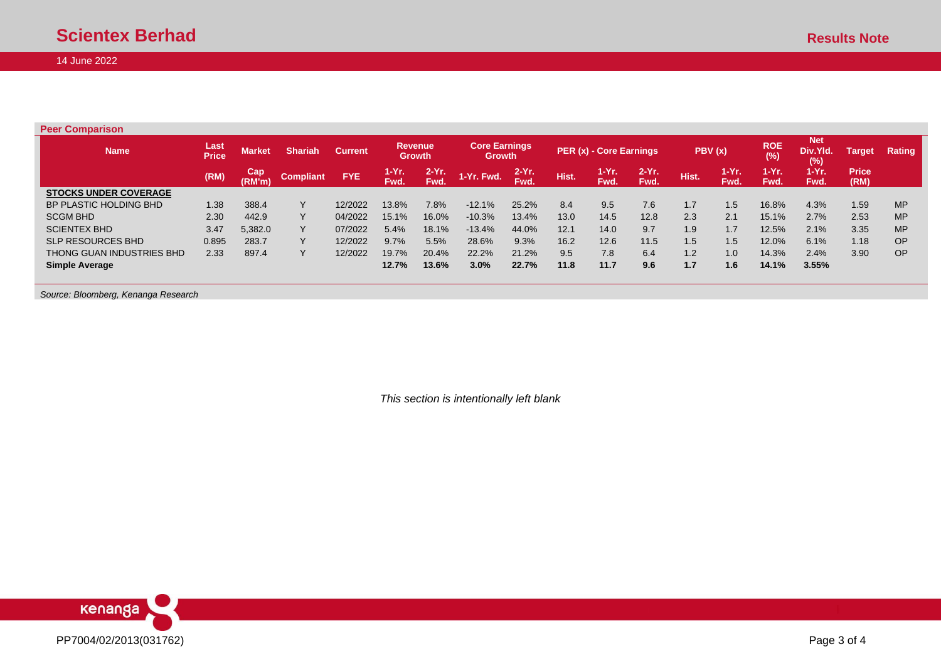# 14 June 2022

| <b>Peer Comparison</b> |
|------------------------|
|                        |

| <b>Name</b>                  | <b>Last</b><br><b>Price</b> | <b>Market</b>        | <b>Shariah</b>   | <b>Current</b> |                     | <b>Revenue</b><br><b>Growth</b> | <b>Core Earnings</b><br><b>Growth</b> |                  |       | PER (x) - Core Earnings |                  |       | PBV(x)              | <b>ROE</b><br>(%) | <b>Net</b><br>Div.Yld.<br>(%) | Target               | Rating    |
|------------------------------|-----------------------------|----------------------|------------------|----------------|---------------------|---------------------------------|---------------------------------------|------------------|-------|-------------------------|------------------|-------|---------------------|-------------------|-------------------------------|----------------------|-----------|
|                              | (RM)                        | <b>Cap</b><br>(RM'm) | <b>Compliant</b> | <b>FYE</b>     | 1-Yr.<br><b>Fwd</b> | $2-Yr$ .<br>Fwd.                | 1-Yr. Fwd.                            | $2-Yr$ .<br>Fwd. | Hist. | 1-Yr.<br>Fwd.           | $2-Yr$ .<br>Fwd. | Hist. | 1-Yr.<br><b>Fwd</b> | $1-Yr.$<br>Fwd.   | $1-Yr$ .<br>Fwd.              | <b>Price</b><br>(RM) |           |
| <b>STOCKS UNDER COVERAGE</b> |                             |                      |                  |                |                     |                                 |                                       |                  |       |                         |                  |       |                     |                   |                               |                      |           |
| BP PLASTIC HOLDING BHD       | 1.38                        | 388.4                |                  | 12/2022        | 13.8%               | 7.8%                            | $-12.1%$                              | 25.2%            | 8.4   | 9.5                     | 7.6              | 1.7   | 1.5                 | 16.8%             | 4.3%                          | 1.59                 | <b>MP</b> |
| <b>SCGM BHD</b>              | 2.30                        | 442.9                | Υ                | 04/2022        | 15.1%               | 16.0%                           | $-10.3%$                              | 13.4%            | 13.0  | 14.5                    | 12.8             | 2.3   | 2.1                 | 15.1%             | 2.7%                          | 2.53                 | <b>MP</b> |
| <b>SCIENTEX BHD</b>          | 3.47                        | 5,382.0              | Y                | 07/2022        | 5.4%                | 18.1%                           | $-13.4%$                              | 44.0%            | 12.1  | 14.0                    | 9.7              | 1.9   | 1.7                 | 12.5%             | 2.1%                          | 3.35                 | <b>MP</b> |
| <b>SLP RESOURCES BHD</b>     | 0.895                       | 283.7                | $\checkmark$     | 12/2022        | 9.7%                | 5.5%                            | 28.6%                                 | 9.3%             | 16.2  | 12.6                    | 11.5             | 1.5   | 1.5                 | 12.0%             | 6.1%                          | 1.18                 | OP        |
| THONG GUAN INDUSTRIES BHD    | 2.33                        | 897.4                |                  | 12/2022        | 19.7%               | 20.4%                           | 22.2%                                 | 21.2%            | 9.5   | 7.8                     | 6.4              | 1.2   | 1.0                 | 14.3%             | 2.4%                          | 3.90                 | <b>OP</b> |
| <b>Simple Average</b>        |                             |                      |                  |                | 12.7%               | 13.6%                           | 3.0%                                  | 22.7%            | 11.8  | 11.7                    | 9.6              | 1.7   | 1.6                 | 14.1%             | 3.55%                         |                      |           |

*Source: Bloomberg, Kenanga Research*

*This section is intentionally left blank*